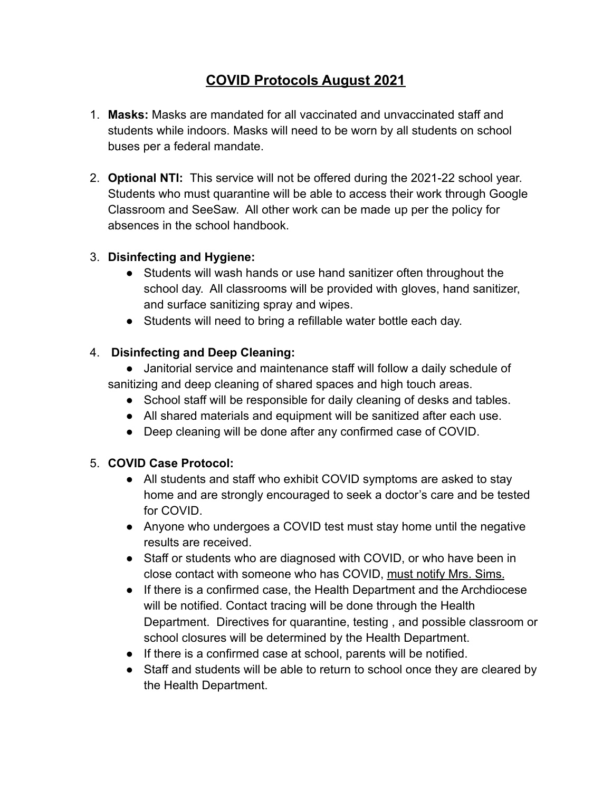# **COVID Protocols August 2021**

- 1. **Masks:** Masks are mandated for all vaccinated and unvaccinated staff and students while indoors. Masks will need to be worn by all students on school buses per a federal mandate.
- 2. **Optional NTI:** This service will not be offered during the 2021-22 school year. Students who must quarantine will be able to access their work through Google Classroom and SeeSaw. All other work can be made up per the policy for absences in the school handbook.

#### 3. **Disinfecting and Hygiene:**

- Students will wash hands or use hand sanitizer often throughout the school day. All classrooms will be provided with gloves, hand sanitizer, and surface sanitizing spray and wipes.
- Students will need to bring a refillable water bottle each day.

#### 4. **Disinfecting and Deep Cleaning:**

- Janitorial service and maintenance staff will follow a daily schedule of sanitizing and deep cleaning of shared spaces and high touch areas.
	- School staff will be responsible for daily cleaning of desks and tables.
	- All shared materials and equipment will be sanitized after each use.
	- Deep cleaning will be done after any confirmed case of COVID.

## 5. **COVID Case Protocol:**

- All students and staff who exhibit COVID symptoms are asked to stay home and are strongly encouraged to seek a doctor's care and be tested for COVID.
- Anyone who undergoes a COVID test must stay home until the negative results are received.
- Staff or students who are diagnosed with COVID, or who have been in close contact with someone who has COVID, must notify Mrs. Sims.
- If there is a confirmed case, the Health Department and the Archdiocese will be notified. Contact tracing will be done through the Health Department. Directives for quarantine, testing , and possible classroom or school closures will be determined by the Health Department.
- If there is a confirmed case at school, parents will be notified.
- Staff and students will be able to return to school once they are cleared by the Health Department.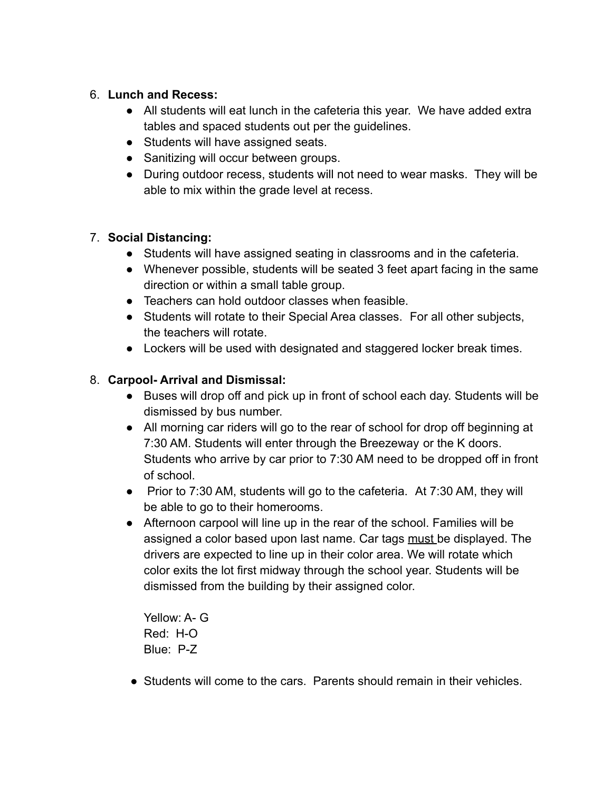#### 6. **Lunch and Recess:**

- All students will eat lunch in the cafeteria this year. We have added extra tables and spaced students out per the guidelines.
- Students will have assigned seats.
- Sanitizing will occur between groups.
- During outdoor recess, students will not need to wear masks. They will be able to mix within the grade level at recess.

# 7. **Social Distancing:**

- Students will have assigned seating in classrooms and in the cafeteria.
- Whenever possible, students will be seated 3 feet apart facing in the same direction or within a small table group.
- Teachers can hold outdoor classes when feasible.
- Students will rotate to their Special Area classes. For all other subjects, the teachers will rotate.
- Lockers will be used with designated and staggered locker break times.

## 8. **Carpool- Arrival and Dismissal:**

- Buses will drop off and pick up in front of school each day. Students will be dismissed by bus number.
- All morning car riders will go to the rear of school for drop off beginning at 7:30 AM. Students will enter through the Breezeway or the K doors. Students who arrive by car prior to 7:30 AM need to be dropped off in front of school.
- Prior to 7:30 AM, students will go to the cafeteria. At 7:30 AM, they will be able to go to their homerooms.
- Afternoon carpool will line up in the rear of the school. Families will be assigned a color based upon last name. Car tags must be displayed. The drivers are expected to line up in their color area. We will rotate which color exits the lot first midway through the school year. Students will be dismissed from the building by their assigned color.

Yellow: A- G Red: H-O Blue: P-Z

• Students will come to the cars. Parents should remain in their vehicles.